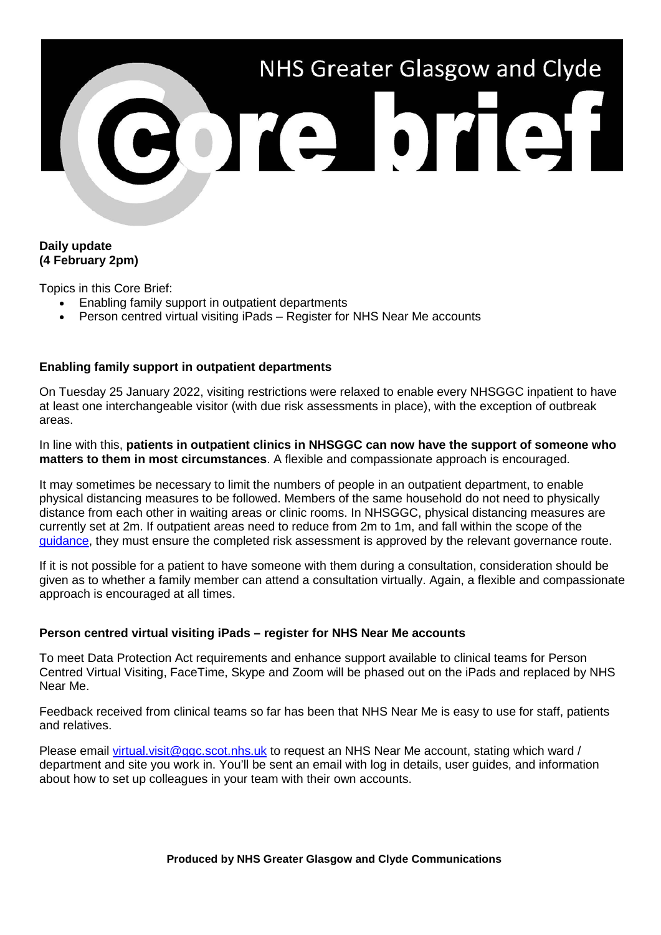

## **Daily update (4 February 2pm)**

Topics in this Core Brief:

- Enabling family support in outpatient departments
- Person centred virtual visiting iPads Register for NHS Near Me accounts

## **Enabling family support in outpatient departments**

On Tuesday 25 January 2022, visiting restrictions were relaxed to enable every NHSGGC inpatient to have at least one interchangeable visitor (with due risk assessments in place), with the exception of outbreak areas.

In line with this, **patients in outpatient clinics in NHSGGC can now have the support of someone who matters to them in most circumstances**. A flexible and compassionate approach is encouraged.

It may sometimes be necessary to limit the numbers of people in an outpatient department, to enable physical distancing measures to be followed. Members of the same household do not need to physically distance from each other in waiting areas or clinic rooms. In NHSGGC, physical distancing measures are currently set at 2m. If outpatient areas need to reduce from 2m to 1m, and fall within the scope of the [guidance,](https://www.nhsggc.org.uk/your-health/health-issues/covid-19-coronavirus/for-nhsggc-staff/physical-distancing-in-the-workplace/) they must ensure the completed risk assessment is approved by the relevant governance route.

If it is not possible for a patient to have someone with them during a consultation, consideration should be given as to whether a family member can attend a consultation virtually. Again, a flexible and compassionate approach is encouraged at all times.

## **Person centred virtual visiting iPads – register for NHS Near Me accounts**

To meet Data Protection Act requirements and enhance support available to clinical teams for Person Centred Virtual Visiting, FaceTime, Skype and Zoom will be phased out on the iPads and replaced by NHS Near Me.

Feedback received from clinical teams so far has been that NHS Near Me is easy to use for staff, patients and relatives.

Please email [virtual.visit@ggc.scot.nhs.uk](mailto:virtual.visit@ggc.scot.nhs.uk) to request an NHS Near Me account, stating which ward / department and site you work in. You'll be sent an email with log in details, user guides, and information about how to set up colleagues in your team with their own accounts.